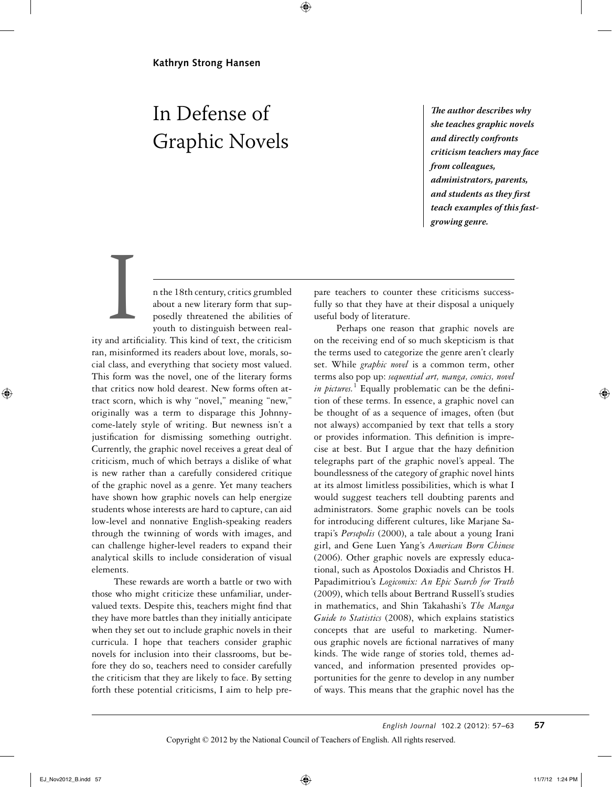# In Defense of Graphic Novels

**!e author describes why she teaches graphic novels and directly confronts criticism teachers may face from colleagues, administrators, parents, and students as they first teach examples of this fastgrowing genre.**

n the 18th century, critics grumbled about a new literary form that supposedly threatened the abilities of youth to distinguish between real-

ity and artificiality. This kind of text, the criticism ran, misinformed its readers about love, morals, social class, and everything that society most valued. This form was the novel, one of the literary forms that critics now hold dearest. New forms often attract scorn, which is why "novel," meaning "new," originally was a term to disparage this Johnnycome-lately style of writing. But newness isn't a justification for dismissing something outright. Currently, the graphic novel receives a great deal of criticism, much of which betrays a dislike of what is new rather than a carefully considered critique of the graphic novel as a genre. Yet many teachers have shown how graphic novels can help energize students whose interests are hard to capture, can aid low-level and nonnative English-speaking readers through the twinning of words with images, and can challenge higher-level readers to expand their analytical skills to include consideration of visual elements. and artist

These rewards are worth a battle or two with those who might criticize these unfamiliar, undervalued texts. Despite this, teachers might find that they have more battles than they initially anticipate when they set out to include graphic novels in their curricula. I hope that teachers consider graphic novels for inclusion into their classrooms, but before they do so, teachers need to consider carefully the criticism that they are likely to face. By setting forth these potential criticisms, I aim to help prepare teachers to counter these criticisms successfully so that they have at their disposal a uniquely useful body of literature.

Perhaps one reason that graphic novels are on the receiving end of so much skepticism is that the terms used to categorize the genre aren't clearly set. While *graphic novel* is a common term, other terms also pop up: *sequential art, manga, comics, novel*  in pictures.<sup>1</sup> Equally problematic can be the definition of these terms. In essence, a graphic novel can be thought of as a sequence of images, often (but not always) accompanied by text that tells a story or provides information. This definition is imprecise at best. But I argue that the hazy definition telegraphs part of the graphic novel's appeal. The boundlessness of the category of graphic novel hints at its almost limitless possibilities, which is what I would suggest teachers tell doubting parents and administrators. Some graphic novels can be tools for introducing different cultures, like Marjane Satrapi's *Persepolis* (2000), a tale about a young Irani girl, and Gene Luen Yang's *American Born Chinese* (2006). Other graphic novels are expressly educational, such as Apostolos Doxiadis and Christos H. Papadimitriou's *Logicomix: An Epic Search for Truth* (2009), which tells about Bertrand Russell's studies in mathematics, and Shin Takahashi's *The Manga Guide to Statistics* (2008), which explains statistics concepts that are useful to marketing. Numerous graphic novels are fictional narratives of many kinds. The wide range of stories told, themes advanced, and information presented provides opportunities for the genre to develop in any number of ways. This means that the graphic novel has the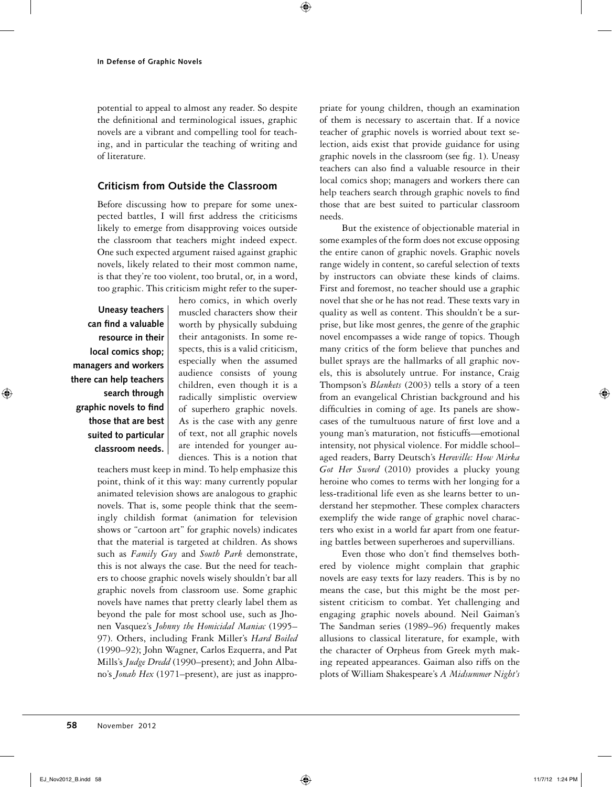potential to appeal to almost any reader. So despite the definitional and terminological issues, graphic novels are a vibrant and compelling tool for teaching, and in particular the teaching of writing and of literature.

# **Criticism from Outside the Classroom**

Before discussing how to prepare for some unexpected battles, I will first address the criticisms likely to emerge from disapproving voices outside the classroom that teachers might indeed expect. One such expected argument raised against graphic novels, likely related to their most common name, is that they're too violent, too brutal, or, in a word, too graphic. This criticism might refer to the super-

**Uneasy teachers can find a valuable resource in their local comics shop; managers and workers there can help teachers search through graphic novels to find those that are best suited to particular classroom needs.** hero comics, in which overly muscled characters show their worth by physically subduing their antagonists. In some respects, this is a valid criticism, especially when the assumed audience consists of young children, even though it is a radically simplistic overview of superhero graphic novels. As is the case with any genre of text, not all graphic novels are intended for younger audiences. This is a notion that

teachers must keep in mind. To help emphasize this point, think of it this way: many currently popular animated television shows are analogous to graphic novels. That is, some people think that the seemingly childish format (animation for television shows or "cartoon art" for graphic novels) indicates that the material is targeted at children. As shows such as *Family Guy* and *South Park* demonstrate, this is not always the case. But the need for teachers to choose graphic novels wisely shouldn't bar all graphic novels from classroom use. Some graphic novels have names that pretty clearly label them as beyond the pale for most school use, such as Jhonen Vasquez's *Johnny the Homicidal Maniac* (1995– 97). Others, including Frank Miller's *Hard Boiled* (1990–92); John Wagner, Carlos Ezquerra, and Pat Mills's *Judge Dredd* (1990–present); and John Albano's *Jonah Hex* (1971–present), are just as inappropriate for young children, though an examination of them is necessary to ascertain that. If a novice teacher of graphic novels is worried about text selection, aids exist that provide guidance for using graphic novels in the classroom (see fig. 1). Uneasy teachers can also find a valuable resource in their local comics shop; managers and workers there can help teachers search through graphic novels to find those that are best suited to particular classroom needs.

But the existence of objectionable material in some examples of the form does not excuse opposing the entire canon of graphic novels. Graphic novels range widely in content, so careful selection of texts by instructors can obviate these kinds of claims. First and foremost, no teacher should use a graphic novel that she or he has not read. These texts vary in quality as well as content. This shouldn't be a surprise, but like most genres, the genre of the graphic novel encompasses a wide range of topics. Though many critics of the form believe that punches and bullet sprays are the hallmarks of all graphic novels, this is absolutely untrue. For instance, Craig Thompson's *Blankets* (2003) tells a story of a teen from an evangelical Christian background and his difficulties in coming of age. Its panels are showcases of the tumultuous nature of first love and a young man's maturation, not fisticuffs—emotional intensity, not physical violence. For middle school– aged readers, Barry Deutsch's *Hereville: How Mirka Got Her Sword* (2010) provides a plucky young heroine who comes to terms with her longing for a less-traditional life even as she learns better to understand her stepmother. These complex characters exemplify the wide range of graphic novel characters who exist in a world far apart from one featuring battles between superheroes and supervillians.

Even those who don't find themselves bothered by violence might complain that graphic novels are easy texts for lazy readers. This is by no means the case, but this might be the most persistent criticism to combat. Yet challenging and engaging graphic novels abound. Neil Gaiman's The Sandman series (1989–96) frequently makes allusions to classical literature, for example, with the character of Orpheus from Greek myth making repeated appearances. Gaiman also riffs on the plots of William Shakespeare's *A Midsummer Night's*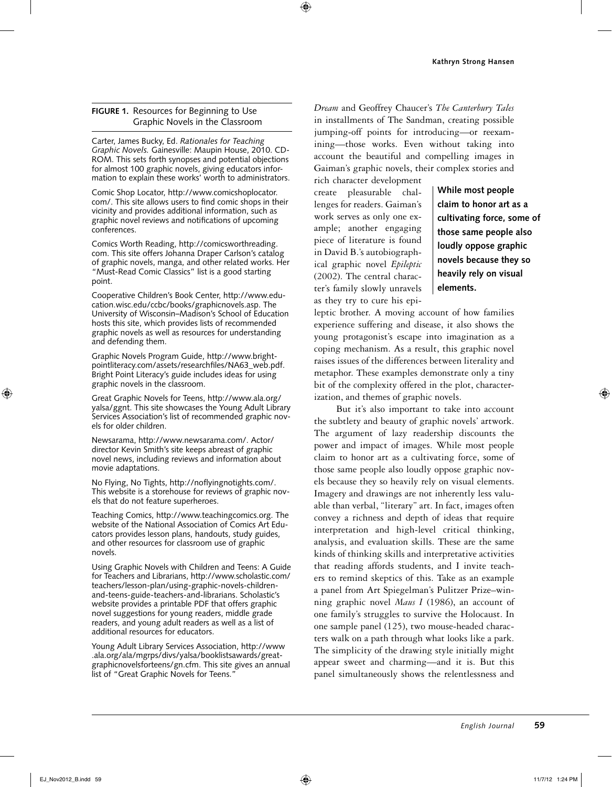### **FIGURE 1.** Resources for Beginning to Use Graphic Novels in the Classroom

Carter, James Bucky, Ed. *Rationales for Teaching Graphic Novels.* Gainesville: Maupin House, 2010. CD-ROM. This sets forth synopses and potential objections for almost 100 graphic novels, giving educators information to explain these works' worth to administrators.

Comic Shop Locator, http://www.comicshoplocator. com/. This site allows users to find comic shops in their vicinity and provides additional information, such as graphic novel reviews and notifications of upcoming conferences.

Comics Worth Reading, http://comicsworthreading. com. This site offers Johanna Draper Carlson's catalog of graphic novels, manga, and other related works. Her "Must-Read Comic Classics" list is a good starting point.

Cooperative Children's Book Center, http://www.education.wisc.edu/ccbc/books/graphicnovels.asp. The University of Wisconsin–Madison's School of Education hosts this site, which provides lists of recommended graphic novels as well as resources for understanding and defending them.

Graphic Novels Program Guide, http://www.brightpointliteracy.com/assets/researchfiles/NA63\_web.pdf. Bright Point Literacy's guide includes ideas for using graphic novels in the classroom.

Great Graphic Novels for Teens, http://www.ala.org/ yalsa/ggnt. This site showcases the Young Adult Library Services Association's list of recommended graphic novels for older children.

Newsarama, http://www.newsarama.com/. Actor/ director Kevin Smith's site keeps abreast of graphic novel news, including reviews and information about movie adaptations.

No Flying, No Tights, http://noflyingnotights.com/. This website is a storehouse for reviews of graphic novels that do not feature superheroes.

Teaching Comics, http://www.teachingcomics.org. The website of the National Association of Comics Art Educators provides lesson plans, handouts, study guides, and other resources for classroom use of graphic novels.

Using Graphic Novels with Children and Teens: A Guide for Teachers and Librarians, http://www.scholastic.com/ teachers/lesson-plan/using-graphic-novels-childrenand-teens-guide-teachers-and-librarians. Scholastic's website provides a printable PDF that offers graphic novel suggestions for young readers, middle grade readers, and young adult readers as well as a list of additional resources for educators.

Young Adult Library Services Association, http://www .ala.org/ala/mgrps/divs/yalsa/booklistsawards/greatgraphicnovelsforteens/gn.cfm. This site gives an annual list of "Great Graphic Novels for Teens."

*Dream* and Geoffrey Chaucer's *The Canterbury Tales* in installments of The Sandman, creating possible jumping-off points for introducing—or reexamining—those works. Even without taking into account the beautiful and compelling images in Gaiman's graphic novels, their complex stories and

rich character development create pleasurable challenges for readers. Gaiman's work serves as only one example; another engaging piece of literature is found in David B.'s autobiographical graphic novel *Epileptic* (2002). The central character's family slowly unravels as they try to cure his epi-

**While most people claim to honor art as a cultivating force, some of those same people also loudly oppose graphic novels because they so heavily rely on visual elements.**

leptic brother. A moving account of how families experience suffering and disease, it also shows the young protagonist's escape into imagination as a coping mechanism. As a result, this graphic novel raises issues of the differences between literality and metaphor. These examples demonstrate only a tiny bit of the complexity offered in the plot, characterization, and themes of graphic novels.

But it's also important to take into account the subtlety and beauty of graphic novels' artwork. The argument of lazy readership discounts the power and impact of images. While most people claim to honor art as a cultivating force, some of those same people also loudly oppose graphic novels because they so heavily rely on visual elements. Imagery and drawings are not inherently less valuable than verbal, "literary" art. In fact, images often convey a richness and depth of ideas that require interpretation and high-level critical thinking, analysis, and evaluation skills. These are the same kinds of thinking skills and interpretative activities that reading affords students, and I invite teachers to remind skeptics of this. Take as an example a panel from Art Spiegelman's Pulitzer Prize–winning graphic novel *Maus I* (1986), an account of one family's struggles to survive the Holocaust. In one sample panel (125), two mouse-headed characters walk on a path through what looks like a park. The simplicity of the drawing style initially might appear sweet and charming—and it is. But this panel simultaneously shows the relentlessness and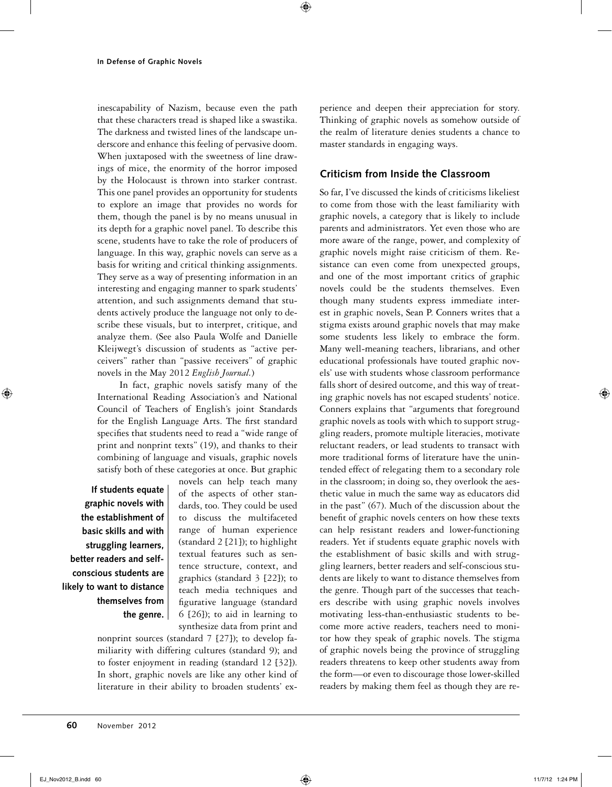inescapability of Nazism, because even the path that these characters tread is shaped like a swastika. The darkness and twisted lines of the landscape underscore and enhance this feeling of pervasive doom. When juxtaposed with the sweetness of line drawings of mice, the enormity of the horror imposed by the Holocaust is thrown into starker contrast. This one panel provides an opportunity for students to explore an image that provides no words for them, though the panel is by no means unusual in its depth for a graphic novel panel. To describe this scene, students have to take the role of producers of language. In this way, graphic novels can serve as a basis for writing and critical thinking assignments. They serve as a way of presenting information in an interesting and engaging manner to spark students' attention, and such assignments demand that students actively produce the language not only to describe these visuals, but to interpret, critique, and analyze them. (See also Paula Wolfe and Danielle Kleijwegt's discussion of students as "active perceivers" rather than "passive receivers" of graphic novels in the May 2012 *English Journal.*)

In fact, graphic novels satisfy many of the International Reading Association's and National Council of Teachers of English's joint Standards for the English Language Arts. The first standard specifies that students need to read a "wide range of print and nonprint texts" (19), and thanks to their combining of language and visuals, graphic novels satisfy both of these categories at once. But graphic

**If students equate graphic novels with the establishment of basic skills and with struggling learners, better readers and selfconscious students are likely to want to distance themselves from the genre.** novels can help teach many of the aspects of other standards, too. They could be used to discuss the multifaceted range of human experience (standard 2 [21]); to highlight textual features such as sentence structure, context, and graphics (standard 3 [22]); to teach media techniques and figurative language (standard 6 [26]); to aid in learning to synthesize data from print and

nonprint sources (standard 7 [27]); to develop familiarity with differing cultures (standard 9); and to foster enjoyment in reading (standard 12 [32]). In short, graphic novels are like any other kind of literature in their ability to broaden students' experience and deepen their appreciation for story. Thinking of graphic novels as somehow outside of the realm of literature denies students a chance to master standards in engaging ways.

# **Criticism from Inside the Classroom**

So far, I've discussed the kinds of criticisms likeliest to come from those with the least familiarity with graphic novels, a category that is likely to include parents and administrators. Yet even those who are more aware of the range, power, and complexity of graphic novels might raise criticism of them. Resistance can even come from unexpected groups, and one of the most important critics of graphic novels could be the students themselves. Even though many students express immediate interest in graphic novels, Sean P. Conners writes that a stigma exists around graphic novels that may make some students less likely to embrace the form. Many well-meaning teachers, librarians, and other educational professionals have touted graphic novels' use with students whose classroom performance falls short of desired outcome, and this way of treating graphic novels has not escaped students' notice. Conners explains that "arguments that foreground graphic novels as tools with which to support struggling readers, promote multiple literacies, motivate reluctant readers, or lead students to transact with more traditional forms of literature have the unintended effect of relegating them to a secondary role in the classroom; in doing so, they overlook the aesthetic value in much the same way as educators did in the past" (67). Much of the discussion about the benefit of graphic novels centers on how these texts can help resistant readers and lower-functioning readers. Yet if students equate graphic novels with the establishment of basic skills and with struggling learners, better readers and self-conscious students are likely to want to distance themselves from the genre. Though part of the successes that teachers describe with using graphic novels involves motivating less-than-enthusiastic students to become more active readers, teachers need to monitor how they speak of graphic novels. The stigma of graphic novels being the province of struggling readers threatens to keep other students away from the form—or even to discourage those lower-skilled readers by making them feel as though they are re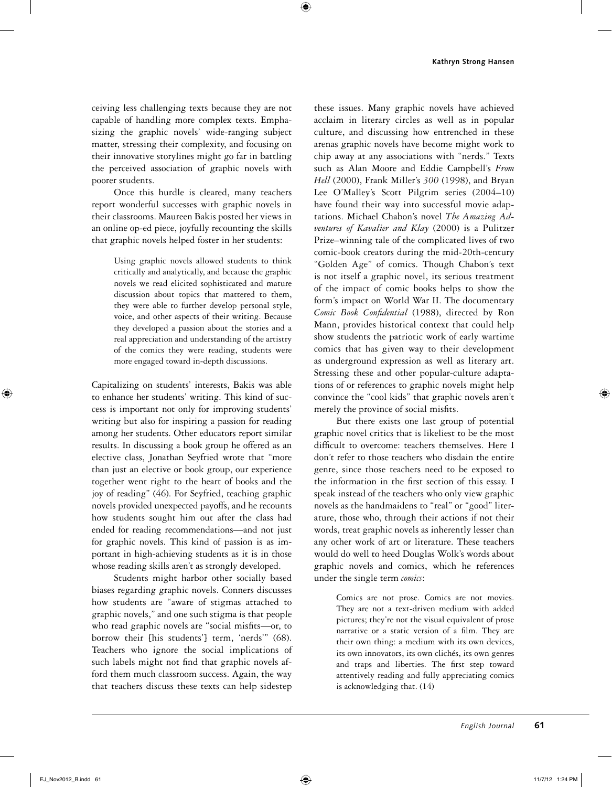ceiving less challenging texts because they are not capable of handling more complex texts. Emphasizing the graphic novels' wide-ranging subject matter, stressing their complexity, and focusing on their innovative storylines might go far in battling the perceived association of graphic novels with poorer students.

Once this hurdle is cleared, many teachers report wonderful successes with graphic novels in their classrooms. Maureen Bakis posted her views in an online op-ed piece, joyfully recounting the skills that graphic novels helped foster in her students:

> Using graphic novels allowed students to think critically and analytically, and because the graphic novels we read elicited sophisticated and mature discussion about topics that mattered to them, they were able to further develop personal style, voice, and other aspects of their writing. Because they developed a passion about the stories and a real appreciation and understanding of the artistry of the comics they were reading, students were more engaged toward in-depth discussions.

Capitalizing on students' interests, Bakis was able to enhance her students' writing. This kind of success is important not only for improving students' writing but also for inspiring a passion for reading among her students. Other educators report similar results. In discussing a book group he offered as an elective class, Jonathan Seyfried wrote that "more than just an elective or book group, our experience together went right to the heart of books and the joy of reading" (46). For Seyfried, teaching graphic novels provided unexpected payoffs, and he recounts how students sought him out after the class had ended for reading recommendations—and not just for graphic novels. This kind of passion is as important in high-achieving students as it is in those whose reading skills aren't as strongly developed.

Students might harbor other socially based biases regarding graphic novels. Conners discusses how students are "aware of stigmas attached to graphic novels," and one such stigma is that people who read graphic novels are "social misfits—or, to borrow their [his students'] term, 'nerds'" (68). Teachers who ignore the social implications of such labels might not find that graphic novels afford them much classroom success. Again, the way that teachers discuss these texts can help sidestep

these issues. Many graphic novels have achieved acclaim in literary circles as well as in popular culture, and discussing how entrenched in these arenas graphic novels have become might work to chip away at any associations with "nerds." Texts such as Alan Moore and Eddie Campbell's *From Hell* (2000), Frank Miller's *300* (1998), and Bryan Lee O'Malley's Scott Pilgrim series (2004–10) have found their way into successful movie adaptations. Michael Chabon's novel *The Amazing Adventures of Kavalier and Klay* (2000) is a Pulitzer Prize–winning tale of the complicated lives of two comic-book creators during the mid-20th-century "Golden Age" of comics. Though Chabon's text is not itself a graphic novel, its serious treatment of the impact of comic books helps to show the form's impact on World War II. The documentary *Comic Book Confidential* (1988), directed by Ron Mann, provides historical context that could help show students the patriotic work of early wartime comics that has given way to their development as underground expression as well as literary art. Stressing these and other popular-culture adaptations of or references to graphic novels might help convince the "cool kids" that graphic novels aren't merely the province of social misfits.

But there exists one last group of potential graphic novel critics that is likeliest to be the most difficult to overcome: teachers themselves. Here I don't refer to those teachers who disdain the entire genre, since those teachers need to be exposed to the information in the first section of this essay. I speak instead of the teachers who only view graphic novels as the handmaidens to "real" or "good" literature, those who, through their actions if not their words, treat graphic novels as inherently lesser than any other work of art or literature. These teachers would do well to heed Douglas Wolk's words about graphic novels and comics, which he references under the single term *comics*:

> Comics are not prose. Comics are not movies. They are not a text-driven medium with added pictures; they're not the visual equivalent of prose narrative or a static version of a film. They are their own thing: a medium with its own devices, its own innovators, its own clichés, its own genres and traps and liberties. The first step toward attentively reading and fully appreciating comics is acknowledging that. (14)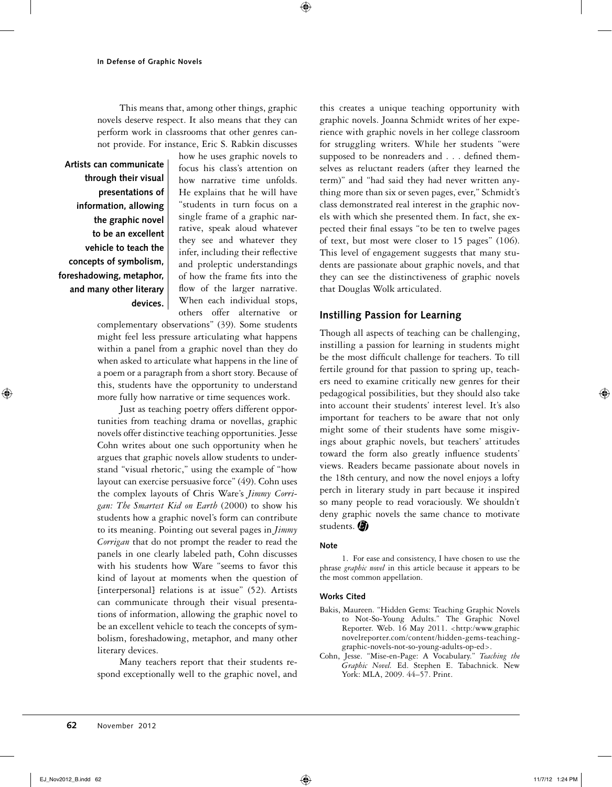This means that, among other things, graphic novels deserve respect. It also means that they can perform work in classrooms that other genres cannot provide. For instance, Eric S. Rabkin discusses

**Artists can communicate through their visual presentations of information, allowing the graphic novel to be an excellent vehicle to teach the concepts of symbolism, foreshadowing, metaphor, and many other literary devices.**

how he uses graphic novels to focus his class's attention on how narrative time unfolds. He explains that he will have "students in turn focus on a single frame of a graphic narrative, speak aloud whatever they see and whatever they infer, including their reflective and proleptic understandings of how the frame fits into the flow of the larger narrative. When each individual stops, others offer alternative or

complementary observations" (39). Some students might feel less pressure articulating what happens within a panel from a graphic novel than they do when asked to articulate what happens in the line of a poem or a paragraph from a short story. Because of this, students have the opportunity to understand more fully how narrative or time sequences work.

Just as teaching poetry offers different opportunities from teaching drama or novellas, graphic novels offer distinctive teaching opportunities. Jesse Cohn writes about one such opportunity when he argues that graphic novels allow students to understand "visual rhetoric," using the example of "how layout can exercise persuasive force" (49). Cohn uses the complex layouts of Chris Ware's *Jimmy Corrigan: The Smartest Kid on Earth* (2000) to show his students how a graphic novel's form can contribute to its meaning. Pointing out several pages in *Jimmy Corrigan* that do not prompt the reader to read the panels in one clearly labeled path, Cohn discusses with his students how Ware "seems to favor this kind of layout at moments when the question of [interpersonal] relations is at issue" (52). Artists can communicate through their visual presentations of information, allowing the graphic novel to be an excellent vehicle to teach the concepts of symbolism, foreshadowing, metaphor, and many other literary devices.

Many teachers report that their students respond exceptionally well to the graphic novel, and

this creates a unique teaching opportunity with graphic novels. Joanna Schmidt writes of her experience with graphic novels in her college classroom for struggling writers. While her students "were supposed to be nonreaders and . . . defined themselves as reluctant readers (after they learned the term)" and "had said they had never written anything more than six or seven pages, ever," Schmidt's class demonstrated real interest in the graphic novels with which she presented them. In fact, she expected their final essays "to be ten to twelve pages of text, but most were closer to 15 pages" (106). This level of engagement suggests that many students are passionate about graphic novels, and that they can see the distinctiveness of graphic novels that Douglas Wolk articulated.

# **Instilling Passion for Learning**

Though all aspects of teaching can be challenging, instilling a passion for learning in students might be the most difficult challenge for teachers. To till fertile ground for that passion to spring up, teachers need to examine critically new genres for their pedagogical possibilities, but they should also take into account their students' interest level. It's also important for teachers to be aware that not only might some of their students have some misgivings about graphic novels, but teachers' attitudes toward the form also greatly influence students' views. Readers became passionate about novels in the 18th century, and now the novel enjoys a lofty perch in literary study in part because it inspired so many people to read voraciously. We shouldn't deny graphic novels the same chance to motivate students.

#### **Note**

1. For ease and consistency, I have chosen to use the phrase *graphic novel* in this article because it appears to be the most common appellation.

#### **Works Cited**

- Bakis, Maureen. "Hidden Gems: Teaching Graphic Novels to Not-So-Young Adults." The Graphic Novel Reporter. Web. 16 May 2011. <http:/www.graphic novelreporter.com/content/hidden-gems-teachinggraphic-novels-not-so-young-adults-op-ed>.
- Cohn, Jesse. "Mise-en-Page: A Vocabulary." *Teaching the Graphic Novel.* Ed. Stephen E. Tabachnick. New York: MLA, 2009. 44–57. Print.